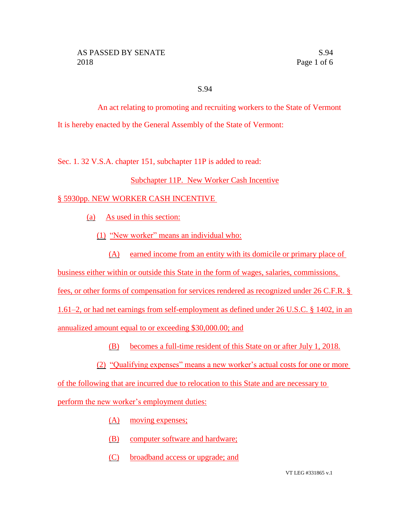### S.94

An act relating to promoting and recruiting workers to the State of Vermont It is hereby enacted by the General Assembly of the State of Vermont:

Sec. 1. 32 V.S.A. chapter 151, subchapter 11P is added to read:

# Subchapter 11P. New Worker Cash Incentive

# § 5930pp. NEW WORKER CASH INCENTIVE

(a) As used in this section:

- (1) "New worker" means an individual who:
	- (A) earned income from an entity with its domicile or primary place of
- business either within or outside this State in the form of wages, salaries, commissions,
- fees, or other forms of compensation for services rendered as recognized under 26 C.F.R. §
- 1.61–2, or had net earnings from self-employment as defined under 26 U.S.C. § 1402, in an

annualized amount equal to or exceeding \$30,000.00; and

- (B) becomes a full-time resident of this State on or after July 1, 2018.
- (2) "Qualifying expenses" means a new worker's actual costs for one or more

of the following that are incurred due to relocation to this State and are necessary to

perform the new worker's employment duties:

- (A) moving expenses;
- (B) computer software and hardware;
- (C) broadband access or upgrade; and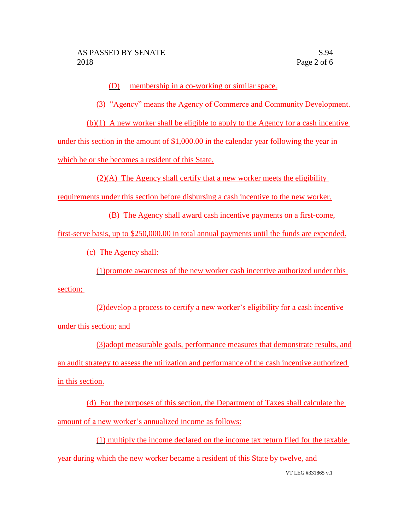(D) membership in a co-working or similar space.

(3) "Agency" means the Agency of Commerce and Community Development.

(b)(1) A new worker shall be eligible to apply to the Agency for a cash incentive

under this section in the amount of \$1,000.00 in the calendar year following the year in

which he or she becomes a resident of this State.

 $(2)(A)$  The Agency shall certify that a new worker meets the eligibility

requirements under this section before disbursing a cash incentive to the new worker.

(B) The Agency shall award cash incentive payments on a first-come,

first-serve basis, up to \$250,000.00 in total annual payments until the funds are expended.

(c) The Agency shall:

(1)promote awareness of the new worker cash incentive authorized under this

section;

(2)develop a process to certify a new worker's eligibility for a cash incentive under this section; and

(3)adopt measurable goals, performance measures that demonstrate results, and an audit strategy to assess the utilization and performance of the cash incentive authorized in this section.

(d) For the purposes of this section, the Department of Taxes shall calculate the amount of a new worker's annualized income as follows:

(1) multiply the income declared on the income tax return filed for the taxable year during which the new worker became a resident of this State by twelve, and

VT LEG #331865 v.1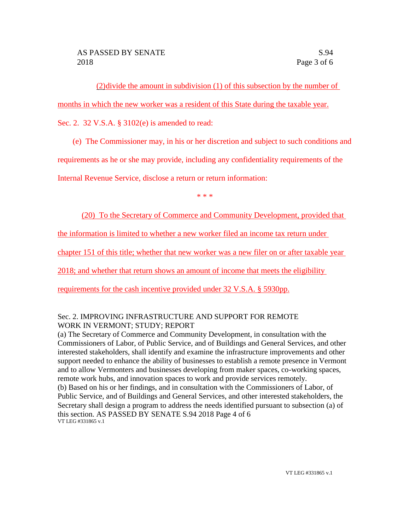(2)divide the amount in subdivision (1) of this subsection by the number of

months in which the new worker was a resident of this State during the taxable year.

Sec. 2. 32 V.S.A. § 3102(e) is amended to read:

(e) The Commissioner may, in his or her discretion and subject to such conditions and

requirements as he or she may provide, including any confidentiality requirements of the

Internal Revenue Service, disclose a return or return information:

\* \* \*

(20) To the Secretary of Commerce and Community Development, provided that

the information is limited to whether a new worker filed an income tax return under

chapter 151 of this title; whether that new worker was a new filer on or after taxable year

2018; and whether that return shows an amount of income that meets the eligibility

requirements for the cash incentive provided under 32 V.S.A. § 5930pp.

# Sec. 2. IMPROVING INFRASTRUCTURE AND SUPPORT FOR REMOTE WORK IN VERMONT; STUDY; REPORT

(a) The Secretary of Commerce and Community Development, in consultation with the Commissioners of Labor, of Public Service, and of Buildings and General Services, and other interested stakeholders, shall identify and examine the infrastructure improvements and other support needed to enhance the ability of businesses to establish a remote presence in Vermont and to allow Vermonters and businesses developing from maker spaces, co-working spaces, remote work hubs, and innovation spaces to work and provide services remotely. (b) Based on his or her findings, and in consultation with the Commissioners of Labor, of Public Service, and of Buildings and General Services, and other interested stakeholders, the Secretary shall design a program to address the needs identified pursuant to subsection (a) of this section. AS PASSED BY SENATE S.94 2018 Page 4 of 6 VT LEG #331865 v.1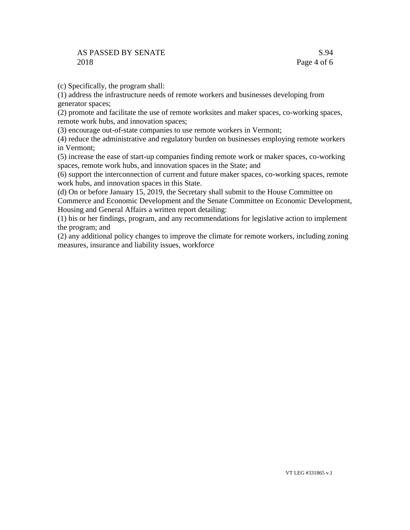### AS PASSED BY SENATE 2018

(c) Specifically, the program shall:

(1) address the infrastructure needs of remote workers and businesses developing from generator spaces;

(2) promote and facilitate the use of remote worksites and maker spaces, co-working spaces, remote work hubs, and innovation spaces;

(3) encourage out-of-state companies to use remote workers in Vermont;

(4) reduce the administrative and regulatory burden on businesses employing remote workers in Vermont;

(5) increase the ease of start-up companies finding remote work or maker spaces, co-working spaces, remote work hubs, and innovation spaces in the State; and

(6) support the interconnection of current and future maker spaces, co-working spaces, remote work hubs, and innovation spaces in this State.

(d) On or before January 15, 2019, the Secretary shall submit to the House Committee on Commerce and Economic Development and the Senate Committee on Economic Development, Housing and General Affairs a written report detailing:

(1) his or her findings, program, and any recommendations for legislative action to implement the program; and

(2) any additional policy changes to improve the climate for remote workers, including zoning measures, insurance and liability issues, workforce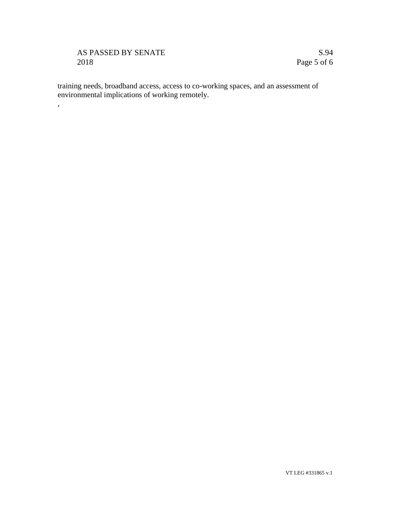# AS PASSED BY SENATE 2018

,

S.94 Page 5 of 6

training needs, broadband access, access to co-working spaces, and an assessment of environmental implications of working remotely.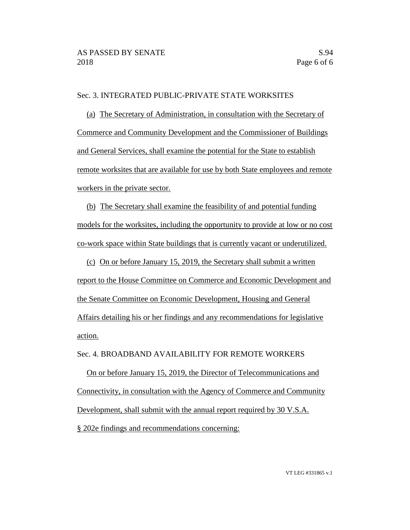### Sec. 3. INTEGRATED PUBLIC-PRIVATE STATE WORKSITES

(a) The Secretary of Administration, in consultation with the Secretary of Commerce and Community Development and the Commissioner of Buildings and General Services, shall examine the potential for the State to establish remote worksites that are available for use by both State employees and remote workers in the private sector.

(b) The Secretary shall examine the feasibility of and potential funding models for the worksites, including the opportunity to provide at low or no cost co-work space within State buildings that is currently vacant or underutilized.

(c) On or before January 15, 2019, the Secretary shall submit a written report to the House Committee on Commerce and Economic Development and the Senate Committee on Economic Development, Housing and General Affairs detailing his or her findings and any recommendations for legislative action.

#### Sec. 4. BROADBAND AVAILABILITY FOR REMOTE WORKERS

On or before January 15, 2019, the Director of Telecommunications and Connectivity, in consultation with the Agency of Commerce and Community Development, shall submit with the annual report required by 30 V.S.A. § 202e findings and recommendations concerning:

VT LEG #331865 v.1